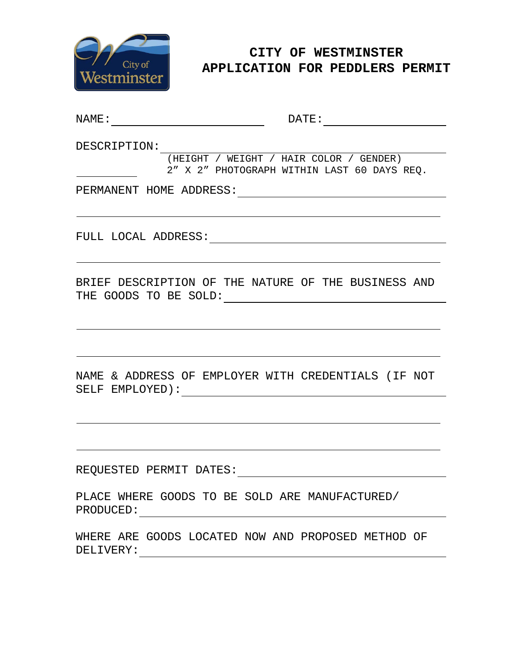

# **CITY OF WESTMINSTER APPLICATION FOR PEDDLERS PERMIT**

NAME: DATE:

DESCRIPTION:

(HEIGHT / WEIGHT / HAIR COLOR / GENDER) 2" X 2" PHOTOGRAPH WITHIN LAST 60 DAYS REQ.

PERMANENT HOME ADDRESS:

FULL LOCAL ADDRESS:

BRIEF DESCRIPTION OF THE NATURE OF THE BUSINESS AND THE GOODS TO BE SOLD:

NAME & ADDRESS OF EMPLOYER WITH CREDENTIALS (IF NOT SELF EMPLOYED):

REQUESTED PERMIT DATES:

PLACE WHERE GOODS TO BE SOLD ARE MANUFACTURED/ PRODUCED:

WHERE ARE GOODS LOCATED NOW AND PROPOSED METHOD OF DELIVERY: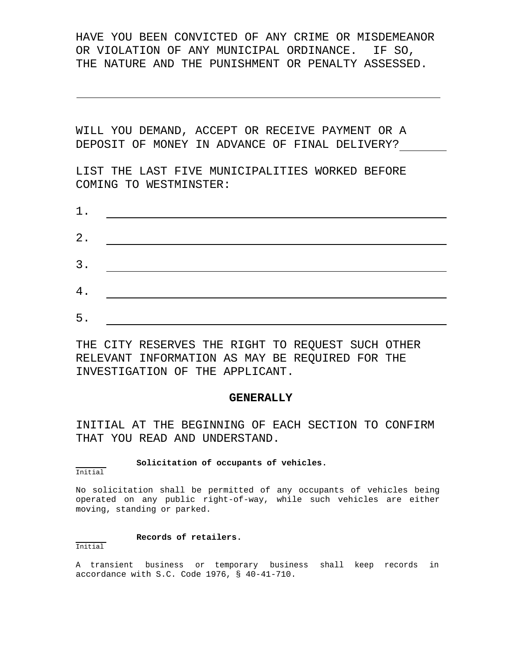HAVE YOU BEEN CONVICTED OF ANY CRIME OR MISDEMEANOR OR VIOLATION OF ANY MUNICIPAL ORDINANCE. IF SO, THE NATURE AND THE PUNISHMENT OR PENALTY ASSESSED.

WILL YOU DEMAND, ACCEPT OR RECEIVE PAYMENT OR A DEPOSIT OF MONEY IN ADVANCE OF FINAL DELIVERY?

LIST THE LAST FIVE MUNICIPALITIES WORKED BEFORE COMING TO WESTMINSTER:

| $1$ .         |  |  |
|---------------|--|--|
| $\mathbf 2$ . |  |  |
| 3.            |  |  |
| 4.            |  |  |
|               |  |  |
| 5.            |  |  |

THE CITY RESERVES THE RIGHT TO REQUEST SUCH OTHER RELEVANT INFORMATION AS MAY BE REQUIRED FOR THE INVESTIGATION OF THE APPLICANT.

# **GENERALLY**

INITIAL AT THE BEGINNING OF EACH SECTION TO CONFIRM THAT YOU READ AND UNDERSTAND.

## **Solicitation of occupants of vehicles.**

Initial

No solicitation shall be permitted of any occupants of vehicles being operated on any public right-of-way, while such vehicles are either moving, standing or parked.

# **Records of retailers.**

# Initial

A transient business or temporary business shall keep records in accordance with S.C. Code 1976, § 40-41-710.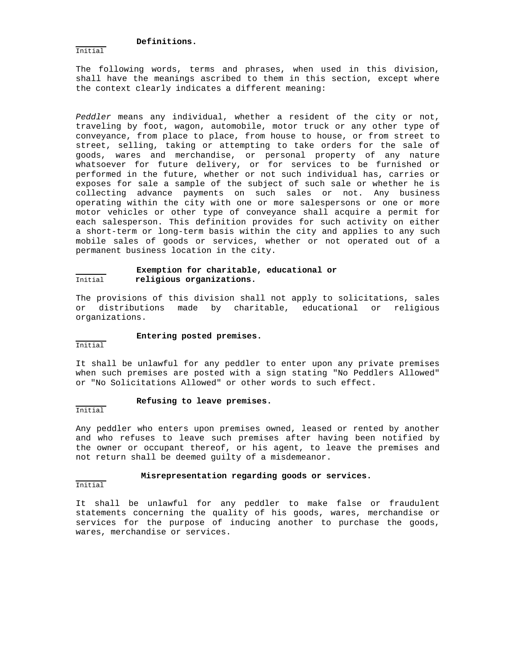# **Definitions.**

Initial

The following words, terms and phrases, when used in this division, shall have the meanings ascribed to them in this section, except where the context clearly indicates a different meaning:

*Peddler* means any individual, whether a resident of the city or not, traveling by foot, wagon, automobile, motor truck or any other type of conveyance, from place to place, from house to house, or from street to street, selling, taking or attempting to take orders for the sale of goods, wares and merchandise, or personal property of any nature whatsoever for future delivery, or for services to be furnished or performed in the future, whether or not such individual has, carries or exposes for sale a sample of the subject of such sale or whether he is collecting advance payments on such sales or not. Any business operating within the city with one or more salespersons or one or more motor vehicles or other type of conveyance shall acquire a permit for each salesperson. This definition provides for such activity on either a short-term or long-term basis within the city and applies to any such mobile sales of goods or services, whether or not operated out of a permanent business location in the city.

# **Exemption for charitable, educational or** Initial **religious organizations.**

The provisions of this division shall not apply to solicitations, sales or distributions made by charitable, educational or religious organizations.

## **Entering posted premises.**

Initial

It shall be unlawful for any peddler to enter upon any private premises when such premises are posted with a sign stating "No Peddlers Allowed" or "No Solicitations Allowed" or other words to such effect.

## **Refusing to leave premises.**

Initial

Any peddler who enters upon premises owned, leased or rented by another and who refuses to leave such premises after having been notified by the owner or occupant thereof, or his agent, to leave the premises and not return shall be deemed guilty of a misdemeanor.

## **Misrepresentation regarding goods or services.**

Initial

It shall be unlawful for any peddler to make false or fraudulent statements concerning the quality of his goods, wares, merchandise or services for the purpose of inducing another to purchase the goods, wares, merchandise or services.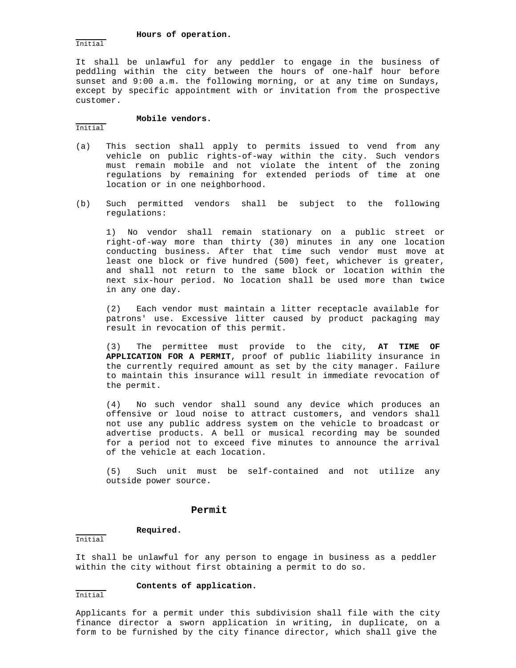**Hours of operation.**

Initial

It shall be unlawful for any peddler to engage in the business of peddling within the city between the hours of one-half hour before sunset and 9:00 a.m. the following morning, or at any time on Sundays, except by specific appointment with or invitation from the prospective customer.

## **Mobile vendors.**

Initial

- (a) This section shall apply to permits issued to vend from any vehicle on public rights-of-way within the city. Such vendors must remain mobile and not violate the intent of the zoning regulations by remaining for extended periods of time at one location or in one neighborhood.
- (b) Such permitted vendors shall be subject to the following regulations:

1) No vendor shall remain stationary on a public street or right-of-way more than thirty (30) minutes in any one location conducting business. After that time such vendor must move at least one block or five hundred (500) feet, whichever is greater, and shall not return to the same block or location within the next six-hour period. No location shall be used more than twice in any one day.

(2) Each vendor must maintain a litter receptacle available for patrons' use. Excessive litter caused by product packaging may result in revocation of this permit.

(3) The permittee must provide to the city, **AT TIME OF APPLICATION FOR A PERMIT**, proof of public liability insurance in the currently required amount as set by the city manager. Failure to maintain this insurance will result in immediate revocation of the permit.

(4) No such vendor shall sound any device which produces an offensive or loud noise to attract customers, and vendors shall not use any public address system on the vehicle to broadcast or advertise products. A bell or musical recording may be sounded for a period not to exceed five minutes to announce the arrival of the vehicle at each location.

(5) Such unit must be self-contained and not utilize any outside power source.

## **Permit**

# **Required.**

Initial

It shall be unlawful for any person to engage in business as a peddler within the city without first obtaining a permit to do so.

# **Contents of application.**

Initial

Applicants for a permit under this subdivision shall file with the city finance director a sworn application in writing, in duplicate, on a form to be furnished by the city finance director, which shall give the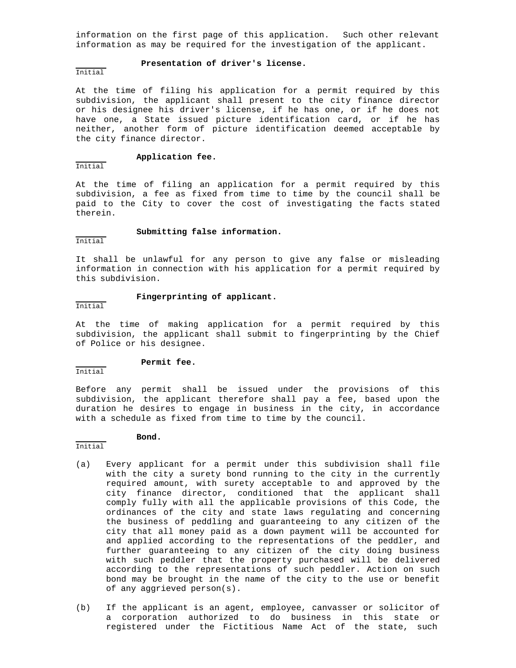information on the first page of this application. Such other relevant information as may be required for the investigation of the applicant.

## **Presentation of driver's license.**

#### Initial

At the time of filing his application for a permit required by this subdivision, the applicant shall present to the city finance director or his designee his driver's license, if he has one, or if he does not have one, a State issued picture identification card, or if he has neither, another form of picture identification deemed acceptable by the city finance director.

# **Application fee.**

Initial

At the time of filing an application for a permit required by this subdivision, a fee as fixed from time to time by the council shall be paid to the City to cover the cost of investigating the facts stated therein.

# **Submitting false information.**

Initial

It shall be unlawful for any person to give any false or misleading information in connection with his application for a permit required by this subdivision.

## **Fingerprinting of applicant.**

Initial

At the time of making application for a permit required by this subdivision, the applicant shall submit to fingerprinting by the Chief of Police or his designee.

#### **Permit fee.**

Initial

Before any permit shall be issued under the provisions of this subdivision, the applicant therefore shall pay a fee, based upon the duration he desires to engage in business in the city, in accordance with a schedule as fixed from time to time by the council.

# **Bond.**

- Initial
- (a) Every applicant for a permit under this subdivision shall file with the city a surety bond running to the city in the currently required amount, with surety acceptable to and approved by the city finance director, conditioned that the applicant shall comply fully with all the applicable provisions of this Code, the ordinances of the city and state laws regulating and concerning the business of peddling and guaranteeing to any citizen of the city that all money paid as a down payment will be accounted for and applied according to the representations of the peddler, and further guaranteeing to any citizen of the city doing business with such peddler that the property purchased will be delivered according to the representations of such peddler. Action on such bond may be brought in the name of the city to the use or benefit of any aggrieved person(s).
- (b) If the applicant is an agent, employee, canvasser or solicitor of a corporation authorized to do business in this state or registered under the Fictitious Name Act of the state, such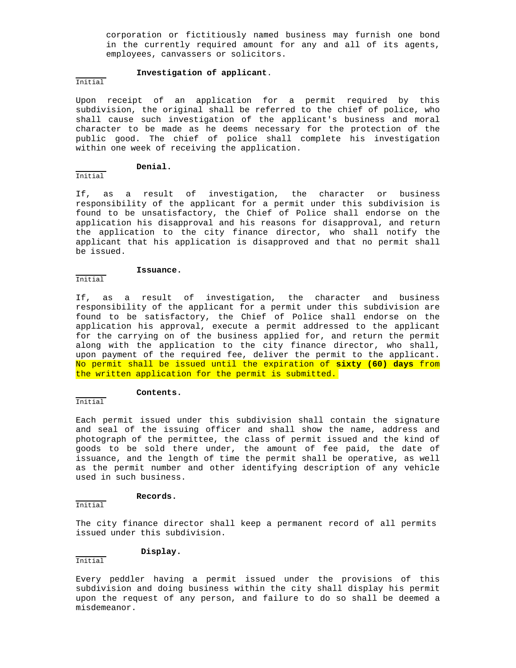corporation or fictitiously named business may furnish one bond in the currently required amount for any and all of its agents, employees, canvassers or solicitors.

#### **Investigation of applicant**.

# Initial

Upon receipt of an application for a permit required by this subdivision, the original shall be referred to the chief of police, who shall cause such investigation of the applicant's business and moral character to be made as he deems necessary for the protection of the public good. The chief of police shall complete his investigation within one week of receiving the application.

# **Denial.**

Initial

If, as a result of investigation, the character or business responsibility of the applicant for a permit under this subdivision is found to be unsatisfactory, the Chief of Police shall endorse on the application his disapproval and his reasons for disapproval, and return the application to the city finance director, who shall notify the applicant that his application is disapproved and that no permit shall be issued.

#### **Issuance.**

# Initial

If, as a result of investigation, the character and business responsibility of the applicant for a permit under this subdivision are found to be satisfactory, the Chief of Police shall endorse on the application his approval, execute a permit addressed to the applicant for the carrying on of the business applied for, and return the permit along with the application to the city finance director, who shall, upon payment of the required fee, deliver the permit to the applicant. No permit shall be issued until the expiration of **sixty (60) days** from the written application for the permit is submitted.

## **Contents.**

Initial

Each permit issued under this subdivision shall contain the signature and seal of the issuing officer and shall show the name, address and photograph of the permittee, the class of permit issued and the kind of goods to be sold there under, the amount of fee paid, the date of issuance, and the length of time the permit shall be operative, as well as the permit number and other identifying description of any vehicle used in such business.

## **Records.**

Initial

The city finance director shall keep a permanent record of all permits issued under this subdivision.

#### **Display.**

Initial

Every peddler having a permit issued under the provisions of this subdivision and doing business within the city shall display his permit upon the request of any person, and failure to do so shall be deemed a misdemeanor.